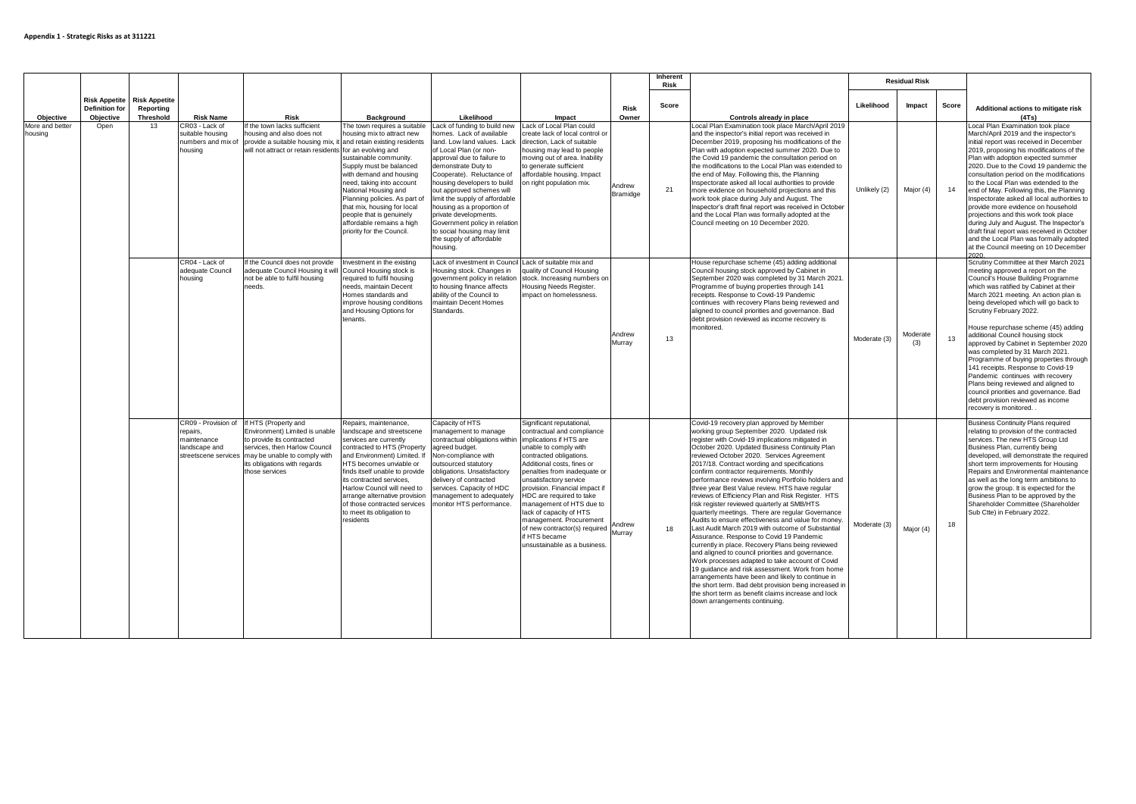|                            |                                                            |                                                       |                                                                                         |                                                                                                                                                                                                        |                                                                                                                                                                                                                                                                                                                                                                                |                                                                                                                                                                                                                                                                                                                  |                                                                                                                                                                                                                                                                                                                                                                                                                                       |                                                                                                                                                                                                                                                                                                                                                       | Inherent<br>Risk                                                                                                                                                                                                                                                                                                                                                                                                                                                                          |                                                                                                                                                                                                                                                                                                                                                                                                                                                                                                                                                                                                                                                                                                                                                                                                                                                                                                                                                                                                                                                                                                                                                                                     | <b>Residual Risk</b> |                 |                                                                                                                                                                                                                                                                                                                                                                                                                                                                                                                                                                                                                                                                                          |                                                                                                                                                                                                                                                                                                                                                                                                                                                                                                                                                                                                                                                                                                    |           |    |                                                                                                                                                                                                                                                                                                                                                                                                                                                                                                                                                                                                                                                                                                     |
|----------------------------|------------------------------------------------------------|-------------------------------------------------------|-----------------------------------------------------------------------------------------|--------------------------------------------------------------------------------------------------------------------------------------------------------------------------------------------------------|--------------------------------------------------------------------------------------------------------------------------------------------------------------------------------------------------------------------------------------------------------------------------------------------------------------------------------------------------------------------------------|------------------------------------------------------------------------------------------------------------------------------------------------------------------------------------------------------------------------------------------------------------------------------------------------------------------|---------------------------------------------------------------------------------------------------------------------------------------------------------------------------------------------------------------------------------------------------------------------------------------------------------------------------------------------------------------------------------------------------------------------------------------|-------------------------------------------------------------------------------------------------------------------------------------------------------------------------------------------------------------------------------------------------------------------------------------------------------------------------------------------------------|-------------------------------------------------------------------------------------------------------------------------------------------------------------------------------------------------------------------------------------------------------------------------------------------------------------------------------------------------------------------------------------------------------------------------------------------------------------------------------------------|-------------------------------------------------------------------------------------------------------------------------------------------------------------------------------------------------------------------------------------------------------------------------------------------------------------------------------------------------------------------------------------------------------------------------------------------------------------------------------------------------------------------------------------------------------------------------------------------------------------------------------------------------------------------------------------------------------------------------------------------------------------------------------------------------------------------------------------------------------------------------------------------------------------------------------------------------------------------------------------------------------------------------------------------------------------------------------------------------------------------------------------------------------------------------------------|----------------------|-----------------|------------------------------------------------------------------------------------------------------------------------------------------------------------------------------------------------------------------------------------------------------------------------------------------------------------------------------------------------------------------------------------------------------------------------------------------------------------------------------------------------------------------------------------------------------------------------------------------------------------------------------------------------------------------------------------------|----------------------------------------------------------------------------------------------------------------------------------------------------------------------------------------------------------------------------------------------------------------------------------------------------------------------------------------------------------------------------------------------------------------------------------------------------------------------------------------------------------------------------------------------------------------------------------------------------------------------------------------------------------------------------------------------------|-----------|----|-----------------------------------------------------------------------------------------------------------------------------------------------------------------------------------------------------------------------------------------------------------------------------------------------------------------------------------------------------------------------------------------------------------------------------------------------------------------------------------------------------------------------------------------------------------------------------------------------------------------------------------------------------------------------------------------------------|
| Objective                  | <b>Risk Appetite</b><br><b>Definition for</b><br>Objective | <b>Risk Appetite</b><br>Reporting<br><b>Threshold</b> | <b>Risk Name</b>                                                                        | <b>Risk</b>                                                                                                                                                                                            | Background                                                                                                                                                                                                                                                                                                                                                                     | Likelihood                                                                                                                                                                                                                                                                                                       | Impact                                                                                                                                                                                                                                                                                                                                                                                                                                | Risk<br>Owner                                                                                                                                                                                                                                                                                                                                         | Score                                                                                                                                                                                                                                                                                                                                                                                                                                                                                     | Controls already in place                                                                                                                                                                                                                                                                                                                                                                                                                                                                                                                                                                                                                                                                                                                                                                                                                                                                                                                                                                                                                                                                                                                                                           | Likelihood           | Impact          | Score                                                                                                                                                                                                                                                                                                                                                                                                                                                                                                                                                                                                                                                                                    | Additional actions to mitigate risk<br>(4Ts)                                                                                                                                                                                                                                                                                                                                                                                                                                                                                                                                                                                                                                                       |           |    |                                                                                                                                                                                                                                                                                                                                                                                                                                                                                                                                                                                                                                                                                                     |
| More and better<br>housing |                                                            |                                                       | Open                                                                                    |                                                                                                                                                                                                        | 13                                                                                                                                                                                                                                                                                                                                                                             | CR03 - Lack of<br>suitable housing<br>numbers and mix of<br>housina                                                                                                                                                                                                                                              | If the town lacks sufficient<br>housing and also does not<br>provide a suitable housing mix, it and retain existing residents<br>will not attract or retain residents for an evolving and                                                                                                                                                                                                                                             | The town requires a suitable<br>housing mix to attract new<br>sustainable community.<br>Supply must be balanced<br>with demand and housing<br>need, taking into account<br>National Housing and<br>Planning policies. As part of<br>that mix, housing for local<br>people that is genuinely<br>affordable remains a high<br>priority for the Council. | Lack of funding to build new Lack of Local Plan could<br>homes. Lack of available<br>land, Low land values. Lack<br>of Local Plan (or non-<br>approval due to failure to<br>demonstrate Duty to<br>Cooperate). Reluctance of<br>housing developers to build<br>out approved schemes will<br>limit the supply of affordable<br>housing as a proportion of<br>private developments.<br>Government policy in relation<br>to social housing may limit<br>the supply of affordable<br>housina. | create lack of local control or<br>direction. Lack of suitable<br>housing may lead to people<br>moving out of area. Inability<br>to generate sufficient<br>affordable housing. Impact<br>on right population mix.                                                                                                                                                                                                                                                                                                                                                                                                                                                                                                                                                                                                                                                                                                                                                                                                                                                                                                                                                                   | Andrew<br>Bramidge   | 21              | Local Plan Examination took place March/April 2019<br>and the inspector's initial report was received in<br>December 2019, proposing his modifications of the<br>Plan with adoption expected summer 2020. Due to<br>the Covid 19 pandemic the consultation period on<br>the modifications to the Local Plan was extended to<br>the end of May, Following this, the Planning<br>Inspectorate asked all local authorities to provide<br>more evidence on household projections and this<br>work took place during July and August. The<br>Inspector's draft final report was received in October<br>and the Local Plan was formally adopted at the<br>Council meeting on 10 December 2020. | Unlikely (2)                                                                                                                                                                                                                                                                                                                                                                                                                                                                                                                                                                                                                                                                                       | Major (4) | 14 | Local Plan Examination took place<br>March/April 2019 and the inspector's<br>initial report was received in December<br>2019, proposing his modifications of the<br>Plan with adoption expected summer<br>2020. Due to the Covid 19 pandemic the<br>consultation period on the modifications<br>to the Local Plan was extended to the<br>end of May. Following this, the Planning<br>Inspectorate asked all local authorities to<br>provide more evidence on household<br>projections and this work took place<br>during July and August. The Inspector's<br>draft final report was received in October<br>and the Local Plan was formally adopted<br>at the Council meeting on 10 December<br>2020 |
|                            |                                                            |                                                       | CR04 - Lack of<br>adequate Council<br>housina                                           | If the Council does not provide<br>adequate Council Housing it will<br>not be able to fulfil housing<br>needs.                                                                                         | Investment in the existing<br>Council Housing stock is<br>reauired to fulfil housina<br>needs, maintain Decent<br>Homes standards and<br>improve housing conditions<br>and Housing Options for<br>tenants.                                                                                                                                                                     | Lack of investment in Council Lack of suitable mix and<br>Housing stock, Changes in<br>government policy in relation<br>to housing finance affects<br>ability of the Council to<br>maintain Decent Homes<br>Standards.                                                                                           | quality of Council Housing<br>stock, Increasing numbers on<br>Housing Needs Register.<br>impact on homelessness.                                                                                                                                                                                                                                                                                                                      | Andrew<br>Murray                                                                                                                                                                                                                                                                                                                                      | 13                                                                                                                                                                                                                                                                                                                                                                                                                                                                                        | House repurchase scheme (45) adding additional<br>Council housing stock approved by Cabinet in<br>September 2020 was completed by 31 March 2021.<br>Programme of buying properties through 141<br>receipts. Response to Covid-19 Pandemic<br>continues with recovery Plans being reviewed and<br>aligned to council priorities and governance. Bad<br>debt provision reviewed as income recovery is<br>monitored.                                                                                                                                                                                                                                                                                                                                                                                                                                                                                                                                                                                                                                                                                                                                                                   | Moderate (3)         | Moderate<br>(3) | 13                                                                                                                                                                                                                                                                                                                                                                                                                                                                                                                                                                                                                                                                                       | Scrutiny Committee at their March 2021<br>meeting approved a report on the<br>Council's House Building Programme<br>which was ratified by Cabinet at their<br>March 2021 meeting. An action plan is<br>being developed which will go back to<br>Scrutiny February 2022.<br>House repurchase scheme (45) adding<br>additional Council housing stock<br>approved by Cabinet in September 2020<br>was completed by 31 March 2021.<br>Programme of buying properties through<br>141 receipts. Response to Covid-19<br>Pandemic continues with recovery<br>Plans being reviewed and aligned to<br>council priorities and governance. Bad<br>debt provision reviewed as income<br>recovery is monitored. |           |    |                                                                                                                                                                                                                                                                                                                                                                                                                                                                                                                                                                                                                                                                                                     |
|                            |                                                            |                                                       | CR09 - Provision of<br>repairs,<br>maintenance<br>landscape and<br>streetscene services | If HTS (Property and<br>Environment) Limited is unable<br>to provide its contracted<br>services, then Harlow Council<br>may be unable to comply with<br>its obligations with regards<br>those services | Repairs, maintenance,<br>landscape and streetscene<br>services are currently<br>contracted to HTS (Property<br>and Environment) Limited. If<br>HTS becomes unviable or<br>finds itself unable to provide<br>its contracted services.<br>Harlow Council will need to<br>arrange alternative provision<br>of those contracted services<br>to meet its obligation to<br>residents | Capacity of HTS<br>management to manage<br>contractual obligations within implications if HTS are<br>agreed budget.<br>Non-compliance with<br>outsourced statutory<br>obligations, Unsatisfactory<br>delivery of contracted<br>services. Capacity of HDC<br>management to adequately<br>monitor HTS performance. | Significant reputational,<br>contractual and compliance<br>unable to comply with<br>contracted obligations.<br>Additional costs, fines or<br>penalties from inadequate or<br>unsatisfactory service<br>provision. Financial impact if<br>HDC are required to take<br>management of HTS due to<br>lack of capacity of HTS<br>management. Procurement<br>of new contractor(s) required<br>if HTS became<br>unsustainable as a business. | Andrew<br>Murrav                                                                                                                                                                                                                                                                                                                                      | 18                                                                                                                                                                                                                                                                                                                                                                                                                                                                                        | Covid-19 recovery plan approved by Member<br>working group September 2020. Updated risk<br>register with Covid-19 implications mitigated in<br>October 2020. Updated Business Continuity Plan<br>reviewed October 2020. Services Agreement<br>2017/18. Contract wording and specifications<br>confirm contractor requirements. Monthly<br>performance reviews involving Portfolio holders and<br>three year Best Value review. HTS have regular<br>reviews of Efficiency Plan and Risk Register. HTS<br>risk register reviewed quarterly at SMB/HTS<br>quarterly meetings. There are regular Governance<br>Audits to ensure effectiveness and value for money.<br>Last Audit March 2019 with outcome of Substantial<br>Assurance. Response to Covid 19 Pandemic<br>currently in place. Recovery Plans being reviewed<br>and aligned to council priorities and governance.<br>Work processes adapted to take account of Covid<br>19 quidance and risk assessment. Work from home<br>arrangements have been and likely to continue in<br>the short term. Bad debt provision being increased in<br>the short term as benefit claims increase and lock<br>down arrangements continuing. | Moderate (3)         | Major (4)       | 18                                                                                                                                                                                                                                                                                                                                                                                                                                                                                                                                                                                                                                                                                       | <b>Business Continuity Plans required</b><br>relating to provision of the contracted<br>services. The new HTS Group Ltd<br>Business Plan, currently being<br>developed, will demonstrate the required<br>short term improvements for Housing<br>Repairs and Environmental maintenance<br>as well as the long term ambitions to<br>grow the group. It is expected for the<br>Business Plan to be approved by the<br>Shareholder Committee (Shareholder<br>Sub Ctte) in February 2022.                                                                                                                                                                                                               |           |    |                                                                                                                                                                                                                                                                                                                                                                                                                                                                                                                                                                                                                                                                                                     |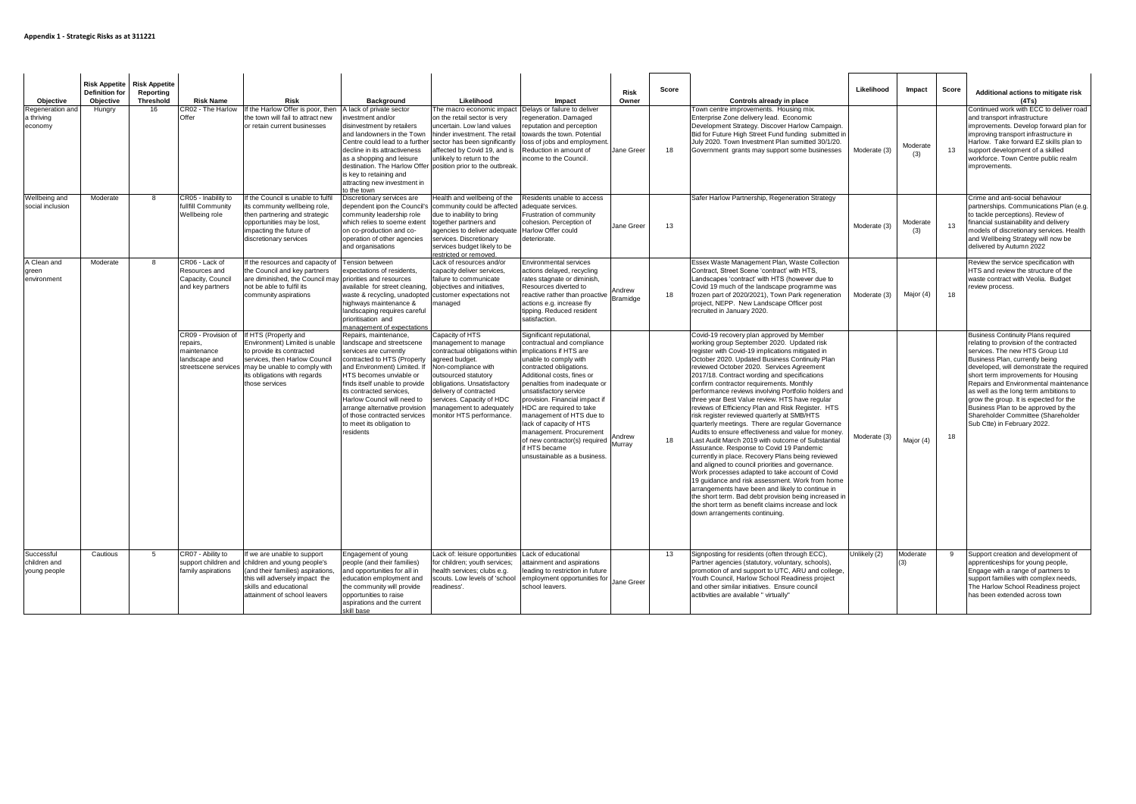| Objective                                  | <b>Risk Appetite</b> Risk Appetite<br><b>Definition for</b><br>Objective | Reporting<br><b>Threshold</b> | <b>Risk Name</b>                                                         | Risk                                                                                                                                                                                                                                            | <b>Background</b>                                                                                                                                                                                                                                                                                                                                                              | Likelihood                                                                                                                                                                                                                                                                                                             | Risk<br>Owner<br>Impact                                                                                                                                                                                                                                                                                                                                                                                                                                                              | Score | Controls already in place                                                                                                                                                                                                                                                                                                                                                                                                                                                                                                                                                                                                                                                                                                                                                                                                                                                                                                                                                                                                                                                                                                                                                           | Likelihood   | Impact          | Score | Additional actions to mitigate risk<br>(4Ts)                                                                                                                                                                                                                                                                                                                                                                                                                                         |
|--------------------------------------------|--------------------------------------------------------------------------|-------------------------------|--------------------------------------------------------------------------|-------------------------------------------------------------------------------------------------------------------------------------------------------------------------------------------------------------------------------------------------|--------------------------------------------------------------------------------------------------------------------------------------------------------------------------------------------------------------------------------------------------------------------------------------------------------------------------------------------------------------------------------|------------------------------------------------------------------------------------------------------------------------------------------------------------------------------------------------------------------------------------------------------------------------------------------------------------------------|--------------------------------------------------------------------------------------------------------------------------------------------------------------------------------------------------------------------------------------------------------------------------------------------------------------------------------------------------------------------------------------------------------------------------------------------------------------------------------------|-------|-------------------------------------------------------------------------------------------------------------------------------------------------------------------------------------------------------------------------------------------------------------------------------------------------------------------------------------------------------------------------------------------------------------------------------------------------------------------------------------------------------------------------------------------------------------------------------------------------------------------------------------------------------------------------------------------------------------------------------------------------------------------------------------------------------------------------------------------------------------------------------------------------------------------------------------------------------------------------------------------------------------------------------------------------------------------------------------------------------------------------------------------------------------------------------------|--------------|-----------------|-------|--------------------------------------------------------------------------------------------------------------------------------------------------------------------------------------------------------------------------------------------------------------------------------------------------------------------------------------------------------------------------------------------------------------------------------------------------------------------------------------|
| Regeneration and<br>a thriving<br>economy  | Hungry                                                                   | 16                            | CR02 - The Harlow<br>Offer                                               | If the Harlow Offer is poor, then<br>the town will fail to attract new<br>or retain current businesses                                                                                                                                          | A lack of private sector<br>westment and/or<br>disinvestment by retailers<br>and landowners in the Town<br>decline in its attractiveness<br>as a shopping and leisure<br>is key to retaining and<br>attracting new investment in<br>to the town                                                                                                                                | The macro economic impact<br>on the retail sector is very<br>uncertain, Low land values<br>hinder investment. The retail<br>Centre could lead to a further sector has been significantly<br>affected by Covid 19, and is<br>unlikelv to return to the<br>destination. The Harlow Offer position prior to the outbreak. | Delays or failure to deliver<br>egeneration. Damaged<br>reputation and perception<br>owards the town. Potential<br>loss of jobs and employment.<br>Jane Greer<br>Reduction in amount of<br>ncome to the Council.                                                                                                                                                                                                                                                                     | 18    | Town centre improvements. Housing mix.<br>Enterprise Zone delivery lead. Economic<br>Development Strategy. Discover Harlow Campaign.<br>Bid for Future High Street Fund funding submitted in<br>July 2020. Town Investment Plan sumitted 30/1/20.<br>Government grants may support some businesses                                                                                                                                                                                                                                                                                                                                                                                                                                                                                                                                                                                                                                                                                                                                                                                                                                                                                  | Moderate (3) | Moderate<br>(3) | 13    | Continued work with ECC to deliver road<br>and transport infrastructure<br>improvements. Develop forward plan for<br>improving transport infrastructure in<br>Harlow. Take forward EZ skills plan to<br>support development of a skilled<br>workforce. Town Centre public realm<br>improvements.                                                                                                                                                                                     |
| Wellbeing and<br>social inclusion          | Moderate                                                                 | $\mathbf{R}$                  | CR05 - Inability to<br>fullfill Community<br>Wellbeing role              | If the Council is unable to fulfil<br>its community wellbeing role,<br>then partnering and strategic<br>opportunities may be lost,<br>mpacting the future of<br>discretionary services                                                          | Discretionary services are<br>community leadership role<br>which relies to soeme extent<br>on co-production and co-<br>operation of other agencies<br>and organisations                                                                                                                                                                                                        | Health and wellbeing of the<br>dependent ipon the Council's community could be affected<br>due to inability to bring<br>together partners and<br>agencies to deliver adequate<br>services. Discretionary<br>services budget likely to be<br>restricted or removed.                                                     | Residents unable to access<br>adequate services.<br>Frustration of community<br>cohesion. Perception of<br>Jane Greer<br>Harlow Offer could<br>deteriorate.                                                                                                                                                                                                                                                                                                                          | 13    | Safer Harlow Partnership, Regeneration Strategy                                                                                                                                                                                                                                                                                                                                                                                                                                                                                                                                                                                                                                                                                                                                                                                                                                                                                                                                                                                                                                                                                                                                     | Moderate (3) | Moderate<br>(3) | 13    | Crime and anti-social behaviour<br>partnerships. Communications Plan (e.g.<br>to tackle perceptions). Review of<br>financial sustainability and delivery<br>models of discretionary services. Health<br>and Wellbeing Strategy will now be<br>delivered by Autumn 2022                                                                                                                                                                                                               |
| A Clean and<br>areen<br>environment        | Moderate                                                                 | 8                             | CR06 - Lack of<br>Resources and<br>Capacity, Council<br>and key partners | If the resources and capacity of<br>the Council and key partners<br>are diminished, the Council may priorities and resources<br>not be able to fulfil its<br>community aspirations                                                              | Tension between<br>expectations of residents,<br>available for street cleaning,<br>waste & recycling, unadopted customer expectations not<br>highways maintenance &<br>landscaping requires careful<br>prioritisation and<br>management of expectation                                                                                                                         | Lack of resources and/or<br>capacity deliver services,<br>failure to communicate<br>objectives and initiatives,<br>managed                                                                                                                                                                                             | Environmental services<br>actions delayed, recycling<br>rates stagnate or diminish,<br>Resources diverted to<br>Andrew<br>reactive rather than proactive<br>Bramidge<br>actions e.g. increase fly<br>tipping. Reduced resident<br>satisfaction.                                                                                                                                                                                                                                      | 18    | Essex Waste Management Plan, Waste Collection<br>Contract, Street Scene 'contract' with HTS,<br>Landscapes 'contract' with HTS (however due to<br>Covid 19 much of the landscape programme was<br>frozen part of 2020/2021), Town Park regeneration<br>project, NEPP. New Landscape Officer post<br>recruited in January 2020.                                                                                                                                                                                                                                                                                                                                                                                                                                                                                                                                                                                                                                                                                                                                                                                                                                                      | Moderate (3) | Major (4)       | 18    | Review the service specification with<br>HTS and review the structure of the<br>waste contract with Veolia. Budget<br>review process.                                                                                                                                                                                                                                                                                                                                                |
|                                            |                                                                          |                               | repairs.<br>maintenance<br>landscape and                                 | CR09 - Provision of If HTS (Property and<br>Environment) Limited is unable<br>to provide its contracted<br>services, then Harlow Council<br>streetscene services may be unable to comply with<br>its obligations with regards<br>those services | Repairs, maintenance,<br>landscape and streetscene<br>services are currently<br>contracted to HTS (Property<br>and Environment) Limited. If<br>HTS becomes unviable or<br>finds itself unable to provide<br>its contracted services.<br>Harlow Council will need to<br>arrange alternative provision<br>of those contracted services<br>to meet its obligation to<br>residents | Capacity of HTS<br>management to manage<br>contractual obligations within<br>agreed budget.<br>Non-compliance with<br>outsourced statutory<br>obligations. Unsatisfactory<br>delivery of contracted<br>services. Capacity of HDC<br>management to adequately<br>monitor HTS performance.                               | Significant reputational,<br>contractual and compliance<br>implications if HTS are<br>unable to comply with<br>contracted obligations.<br>Additional costs, fines or<br>penalties from inadequate or<br>unsatisfactory service<br>provision. Financial impact if<br>HDC are required to take<br>management of HTS due to<br>lack of capacity of HTS<br>management. Procurement<br>Andrew<br>of new contractor(s) required<br>Murrav<br>if HTS became<br>unsustainable as a business. | 18    | Covid-19 recovery plan approved by Member<br>working group September 2020. Updated risk<br>register with Covid-19 implications mitigated in<br>October 2020. Updated Business Continuity Plan<br>reviewed October 2020. Services Agreement<br>2017/18. Contract wording and specifications<br>confirm contractor requirements. Monthly<br>performance reviews involving Portfolio holders and<br>three year Best Value review. HTS have regular<br>reviews of Efficiency Plan and Risk Register. HTS<br>risk register reviewed quarterly at SMB/HTS<br>quarterly meetings. There are regular Governance<br>Audits to ensure effectiveness and value for money.<br>Last Audit March 2019 with outcome of Substantial<br>Assurance. Response to Covid 19 Pandemic<br>currently in place. Recovery Plans being reviewed<br>and aligned to council priorities and governance.<br>Work processes adapted to take account of Covid<br>19 quidance and risk assessment. Work from home<br>arrangements have been and likely to continue in<br>the short term. Bad debt provision being increased in<br>the short term as benefit claims increase and lock<br>down arrangements continuing. | Moderate (3) | Major (4)       | 18    | <b>Business Continuity Plans required</b><br>relating to provision of the contracted<br>services. The new HTS Group Ltd<br>Business Plan, currently being<br>developed, will demonstrate the required<br>short term improvements for Housing<br>Repairs and Environmental maintenance<br>as well as the long term ambitions to<br>grow the group. It is expected for the<br>Business Plan to be approved by the<br>Shareholder Committee (Shareholder<br>Sub Ctte) in February 2022. |
| Successful<br>children and<br>young people | Cautious                                                                 | 5                             | CR07 - Ability to<br>family aspirations                                  | If we are unable to support<br>support children and children and young people's<br>(and their families) aspirations,<br>this will adversely impact the<br>skills and educational<br>attainment of school leavers                                | Engagement of young<br>people (and their families)<br>and opportunities for all in<br>education employment and<br>the community will provide<br>opportunities to raise<br>aspirations and the current<br>skill base                                                                                                                                                            | Lack of: leisure opportunities<br>for children; youth services;<br>health services; clubs e.g.<br>scouts. Low levels of 'school<br>readiness'.                                                                                                                                                                         | Lack of educational<br>attainment and aspirations<br>leading to restriction in future<br>employment opportunities for Jane Green<br>school leavers.                                                                                                                                                                                                                                                                                                                                  | 13    | Signposting for residents (often through ECC),<br>Partner agencies (statutory, voluntary, schools),<br>promotion of and support to UTC, ARU and college,<br>Youth Council, Harlow School Readiness project<br>and other similar initiatives. Ensure council<br>actibvities are available " virtually"                                                                                                                                                                                                                                                                                                                                                                                                                                                                                                                                                                                                                                                                                                                                                                                                                                                                               | Unlikely (2) | Moderate<br>(3) | 9     | Support creation and development of<br>apprenticeships for young people,<br>Engage with a range of partners to<br>support families with complex needs,<br>The Harlow School Readiness project<br>has been extended across town                                                                                                                                                                                                                                                       |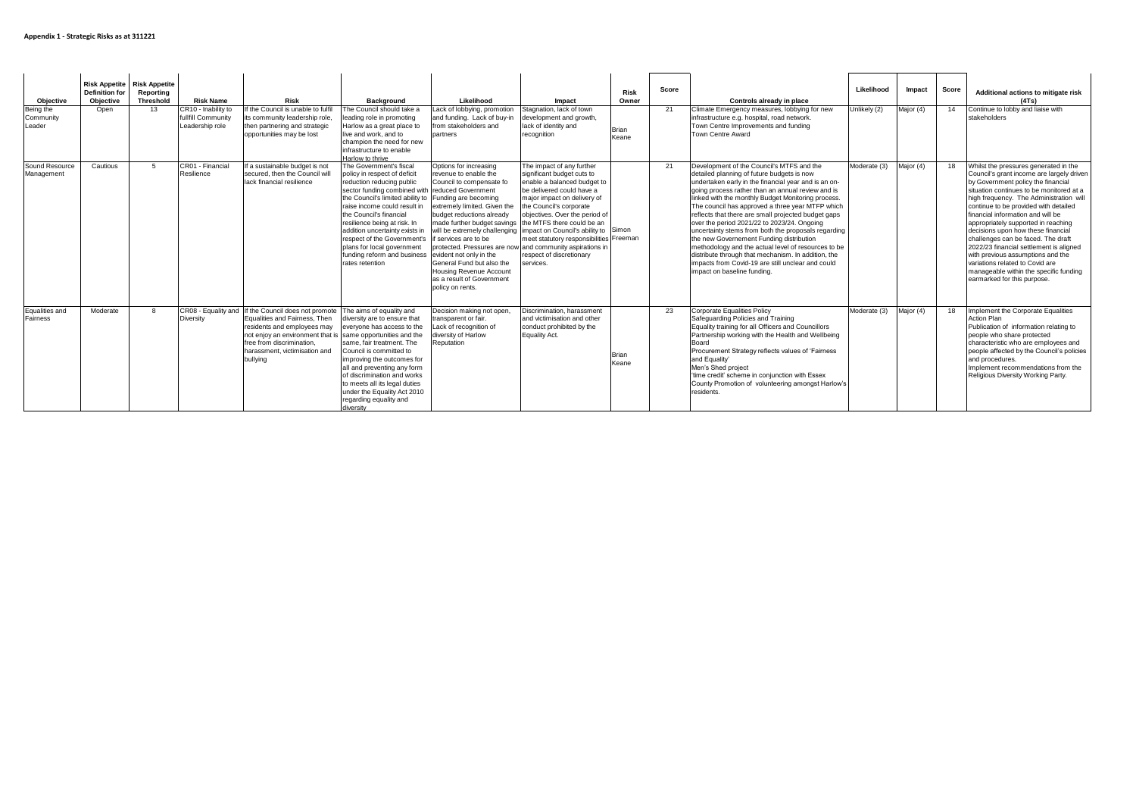| Objective<br>Being the<br>Community<br>Leader | <b>Risk Appetite</b> Risk Appetite<br><b>Definition for</b><br><b>Objective</b><br>Open | Reporting<br>Threshold<br>13 | <b>Risk Name</b><br>CR10 - Inability to<br>fullfill Community<br>Leadership role | Risk<br>If the Council is unable to fulfil<br>its community leadership role,<br>then partnering and strategic<br>opportunities may be lost                                                                    | <b>Background</b><br>The Council should take a<br>leading role in promoting<br>Harlow as a great place to<br>live and work, and to<br>champion the need for new<br>infrastructure to enable<br>Harlow to thrive                                                                                                                                                                                                         | Likelihood<br>Lack of lobbying, promotion<br>and funding. Lack of buy-in<br>from stakeholders and<br>partners                                                                                                                                                                                                                                                                                                                                                                                                        | Impact<br>Stagnation, lack of town<br>development and growth,<br>lack of identity and<br>recognition                                                                                                                                                                                                | Risk<br>Owner<br><b>Brian</b><br>Keane | Score<br>21 | Controls already in place<br>Climate Emergency measures, lobbying for new<br>infrastructure e.g. hospital, road network.<br>Town Centre Improvements and funding<br>Town Centre Award                                                                                                                                                                                                                                                                                                                                                                                                                                                                                                                                    | Likelihood<br>Unlikely (2) | Impact<br>Major (4) | Score<br>14 | Additional actions to mitigate risk<br>(4Ts)<br>Continue to lobby and liaise with<br>stakeholders                                                                                                                                                                                                                                                                                                                                                                                                                                                                                                            |
|-----------------------------------------------|-----------------------------------------------------------------------------------------|------------------------------|----------------------------------------------------------------------------------|---------------------------------------------------------------------------------------------------------------------------------------------------------------------------------------------------------------|-------------------------------------------------------------------------------------------------------------------------------------------------------------------------------------------------------------------------------------------------------------------------------------------------------------------------------------------------------------------------------------------------------------------------|----------------------------------------------------------------------------------------------------------------------------------------------------------------------------------------------------------------------------------------------------------------------------------------------------------------------------------------------------------------------------------------------------------------------------------------------------------------------------------------------------------------------|-----------------------------------------------------------------------------------------------------------------------------------------------------------------------------------------------------------------------------------------------------------------------------------------------------|----------------------------------------|-------------|--------------------------------------------------------------------------------------------------------------------------------------------------------------------------------------------------------------------------------------------------------------------------------------------------------------------------------------------------------------------------------------------------------------------------------------------------------------------------------------------------------------------------------------------------------------------------------------------------------------------------------------------------------------------------------------------------------------------------|----------------------------|---------------------|-------------|--------------------------------------------------------------------------------------------------------------------------------------------------------------------------------------------------------------------------------------------------------------------------------------------------------------------------------------------------------------------------------------------------------------------------------------------------------------------------------------------------------------------------------------------------------------------------------------------------------------|
| Sound Resource<br>Management                  | Cautious                                                                                | -5                           | CR01 - Financial<br>Resilience                                                   | If a sustainable budget is not<br>secured, then the Council will<br>lack financial resilience                                                                                                                 | The Government's fiscal<br>policy in respect of deficit<br>reduction reducing public<br>sector funding combined with reduced Government<br>the Council's limited ability to<br>raise income could result in<br>the Council's financial<br>resilience being at risk. In<br>addition uncertainty exists in<br>respect of the Government's<br>plans for local government<br>funding reform and business<br>rates retention | Options for increasing<br>revenue to enable the<br>Council to compensate fo<br>Funding are becoming<br>extremely limited. Given the<br>budget reductions already<br>made further budget savings the MTFS there could be an<br>will be extremely challenging impact on Council's ability to<br>if services are to be<br>protected. Pressures are now and community aspirations in<br>evident not only in the<br>General Fund but also the<br>Housing Revenue Account<br>as a result of Government<br>policy on rents. | The impact of any further<br>significant budget cuts to<br>enable a balanced budget to<br>be delivered could have a<br>major impact on delivery of<br>the Council's corporate<br>objectives. Over the period of<br>meet statutory responsibilities Freeman<br>respect of discretionary<br>services. | Simon                                  | 21          | Development of the Council's MTFS and the<br>detailed planning of future budgets is now<br>undertaken early in the financial year and is an on-<br>going process rather than an annual review and is<br>linked with the monthly Budget Monitoring process.<br>The council has approved a three year MTFP which<br>reflects that there are small projected budget gaps<br>over the period 2021/22 to 2023/24. Ongoing<br>uncertainty stems from both the proposals regarding<br>the new Governement Funding distribution<br>methodology and the actual level of resources to be<br>distribute through that mechanism. In addition, the<br>impacts from Covid-19 are still unclear and could<br>impact on baseline funding | Moderate (3)               | Major (4)           | 18          | Whilst the pressures generated in the<br>Council's grant income are largely driven<br>by Government policy the financial<br>situation continues to be monitored at a<br>high frequency. The Administration will<br>continue to be provided with detailed<br>financial information and will be<br>appropriately supported in reaching<br>decisions upon how these financial<br>challenges can be faced. The draft<br>2022/23 financial settlement is aligned<br>with previous assumptions and the<br>variations related to Covid are<br>manageable within the specific funding<br>earmarked for this purpose. |
| Equalities and<br>Fairness                    | Moderate                                                                                | 8                            | CR08 - Equality and<br>Diversity                                                 | If the Council does not promote<br>Equalities and Fairness. Then<br>residents and employees may<br>not enjoy an environment that is<br>free from discrimination.<br>harassment, victimisation and<br>bullying | The aims of equality and<br>diversity are to ensure that<br>everyone has access to the<br>same opportunities and the<br>same, fair treatment. The<br>Council is committed to<br>improving the outcomes for<br>all and preventing any form<br>of discrimination and works<br>to meets all its legal duties<br>under the Equality Act 2010<br>regarding equality and<br>diversity                                         | Decision making not open.<br>transparent or fair.<br>Lack of recognition of<br>diversity of Harlow<br>Reputation                                                                                                                                                                                                                                                                                                                                                                                                     | Discrimination, harassment<br>and victimisation and other<br>conduct prohibited by the<br>Equality Act.                                                                                                                                                                                             | Brian<br>Keane                         | 23          | <b>Corporate Equalities Policy</b><br>Safeguarding Policies and Training<br>Equality training for all Officers and Councillors<br>Partnership working with the Health and Wellbeing<br>Board<br>Procurement Strategy reflects values of 'Fairness<br>and Equality'<br>Men's Shed project<br>'time credit' scheme in conjunction with Essex<br>County Promotion of volunteering amongst Harlow's<br>residents.                                                                                                                                                                                                                                                                                                            | Moderate (3)               | Major (4)           | 18          | Implement the Corporate Equalities<br>Action Plan<br>Publication of information relating to<br>people who share protected<br>characteristic who are employees and<br>people affected by the Council's policies<br>and procedures.<br>Implement recommendations from the<br>Religious Diversity Working Party.                                                                                                                                                                                                                                                                                                |